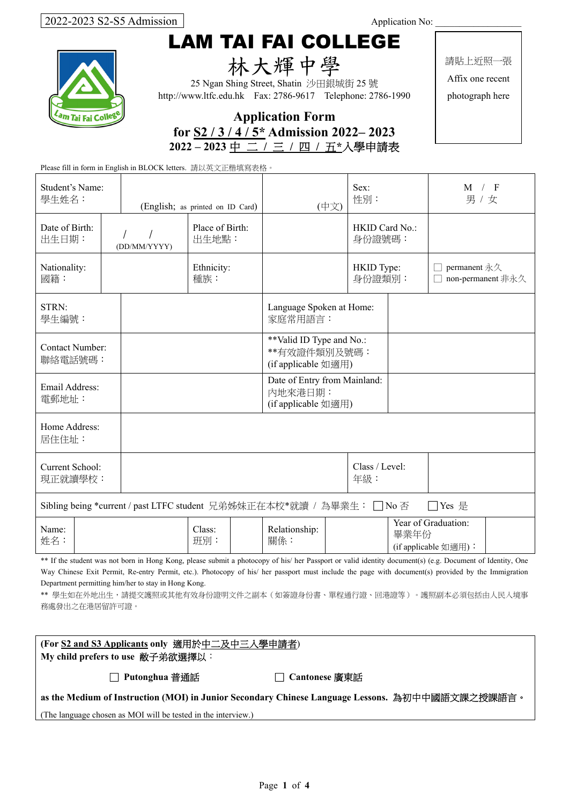# LAM TAI FAI COLLEGE



林大輝中學

25 Ngan Shing Street, Shatin 沙田銀城街 25 號 http://www.ltfc.edu.hk Fax: 2786-9617 Telephone: 2786-1990 請貼上近照一張

Affix one recent photograph here

| <b>Application Form</b>              |  |  |  |  |  |
|--------------------------------------|--|--|--|--|--|
| for $S2/3/4/5$ * Admission 2022–2023 |  |  |  |  |  |
| 2022-2023 中 二 / 三 / 四 / 五*入學申請表      |  |  |  |  |  |

| Please fill in form in English in BLOCK letters. 請以英文正楷填寫表格。                    |  |               |                                  |                                                                 |                          |                                             |                                   |
|---------------------------------------------------------------------------------|--|---------------|----------------------------------|-----------------------------------------------------------------|--------------------------|---------------------------------------------|-----------------------------------|
| Student's Name:<br>學生姓名:                                                        |  |               | (English; as printed on ID Card) | (中文)                                                            | Sex:<br>性別:              |                                             | M / F<br>男 / 女                    |
| Date of Birth:<br>出生日期:                                                         |  | (DD/MM/YYYY)  | Place of Birth:<br>出生地點:         |                                                                 | HKID Card No.:<br>身份證號碼: |                                             |                                   |
| Nationality:<br>國籍:                                                             |  |               | Ethnicity:<br>種族:                |                                                                 | HKID Type:<br>身份證類別:     |                                             | permanent 永久<br>non-permanent 非永久 |
| STRN:<br>學生編號:                                                                  |  |               |                                  | Language Spoken at Home:<br>家庭常用語言:                             |                          |                                             |                                   |
| <b>Contact Number:</b><br>聯絡電話號碼:                                               |  |               |                                  | **Valid ID Type and No.:<br>**有效證件類別及號碼:<br>(if applicable 如適用) |                          |                                             |                                   |
| Email Address:<br>電郵地址:                                                         |  |               |                                  | Date of Entry from Mainland:<br>内地來港日期:<br>(if applicable 如適用)  |                          |                                             |                                   |
| Home Address:<br>居住住址:                                                          |  |               |                                  |                                                                 |                          |                                             |                                   |
| Current School:<br>現正就讀學校:                                                      |  |               |                                  | Class / Level:<br>年級:                                           |                          |                                             |                                   |
| Sibling being *current / past LTFC student 兄弟姊妹正在本校*就讀 / 為畢業生: □ No 否<br>□Yes 是 |  |               |                                  |                                                                 |                          |                                             |                                   |
| Name:<br>姓名:                                                                    |  | Class:<br>班別: | Relationship:<br>關係:             |                                                                 | 畢業年份                     | Year of Graduation:<br>(if applicable 如適用): |                                   |

\*\* If the student was not born in Hong Kong, please submit a photocopy of his/ her Passport or valid identity document(s) (e.g. Document of Identity, One Way Chinese Exit Permit, Re-entry Permit, etc.). Photocopy of his/ her passport must include the page with document(s) provided by the Immigration Department permitting him/her to stay in Hong Kong.

\*\* 學生如在外地出生,請提交護照或其他有效身份證明文件之副本(如簽證身份書、單程通行證、回港證等)。護照副本必須包括由人民入境事 務處發出之在港居留許可證。

| (For S2 and S3 Applicants only 適用於中二及中三入學申請者) |  |
|-----------------------------------------------|--|
| My child prefers to use 敝子弟欲選擇以:              |  |

□ **Putonghua** 普通話□ **Cantonese** 廣東話

**as the Medium of Instruction (MOI) in Junior Secondary Chinese Language Lessons.** 為初中中國語文課之授課語言。

(The language chosen as MOI will be tested in the interview.)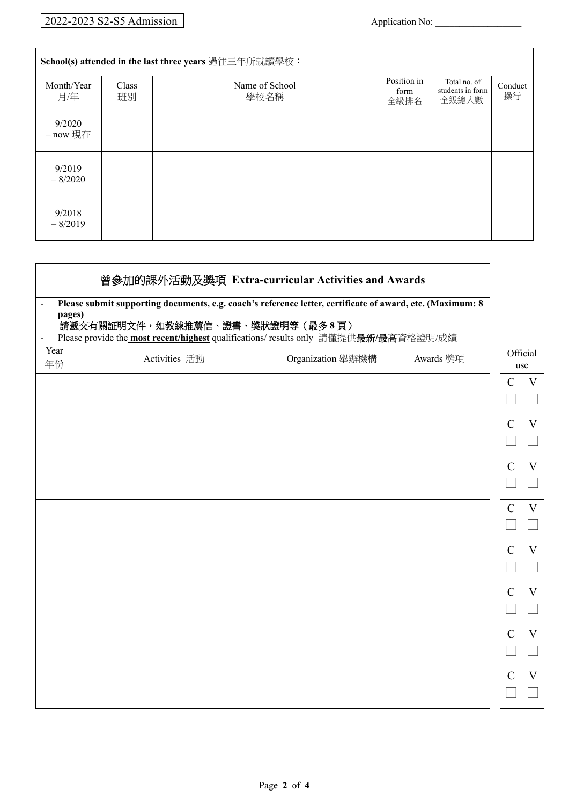| School(s) attended in the last three years 過往三年所就讀學校: |             |                        |                             |                                           |               |
|-------------------------------------------------------|-------------|------------------------|-----------------------------|-------------------------------------------|---------------|
| Month/Year<br>月/年                                     | Class<br>班別 | Name of School<br>學校名稱 | Position in<br>form<br>全級排名 | Total no. of<br>students in form<br>全級總人數 | Conduct<br>操行 |
| 9/2020<br>$-$ now 現在                                  |             |                        |                             |                                           |               |
| 9/2019<br>$-8/2020$                                   |             |                        |                             |                                           |               |
| 9/2018<br>$-8/2019$                                   |             |                        |                             |                                           |               |

| 曾参加的課外活動及獎項 Extra-curricular Activities and Awards<br>Please submit supporting documents, e.g. coach's reference letter, certificate of award, etc. (Maximum: 8<br>$\overline{\phantom{a}}$<br>pages)<br>請遞交有關証明文件,如教練推薦信、證書、獎狀證明等(最多8頁) |                                                                                                              |                   |           |               |                   |
|------------------------------------------------------------------------------------------------------------------------------------------------------------------------------------------------------------------------------------------|--------------------------------------------------------------------------------------------------------------|-------------------|-----------|---------------|-------------------|
|                                                                                                                                                                                                                                          |                                                                                                              |                   |           |               |                   |
| $\overline{\phantom{m}}$<br>Year<br>年份                                                                                                                                                                                                   | Please provide the <b>most recent/highest</b> qualifications/ results only 請僅提供最新/最高資格證明/成績<br>Activities 活動 | Organization 舉辦機構 | Awards 獎項 |               | Official<br>use   |
|                                                                                                                                                                                                                                          |                                                                                                              |                   |           | $\mathsf{C}$  | $\rm V$           |
|                                                                                                                                                                                                                                          |                                                                                                              |                   |           | $\mathcal{C}$ | $\rm V$           |
|                                                                                                                                                                                                                                          |                                                                                                              |                   |           | $\mathbf C$   | $\rm V$           |
|                                                                                                                                                                                                                                          |                                                                                                              |                   |           | $\mathsf{C}$  | V<br>$\sim$       |
|                                                                                                                                                                                                                                          |                                                                                                              |                   |           | $\mathsf{C}$  | $\rm V$<br>$\Box$ |
|                                                                                                                                                                                                                                          |                                                                                                              |                   |           | $\mathcal{C}$ | V                 |
|                                                                                                                                                                                                                                          |                                                                                                              |                   |           | $\mathbf C$   | V<br>$\sim$       |
|                                                                                                                                                                                                                                          |                                                                                                              |                   |           | $\mathbf C$   | V                 |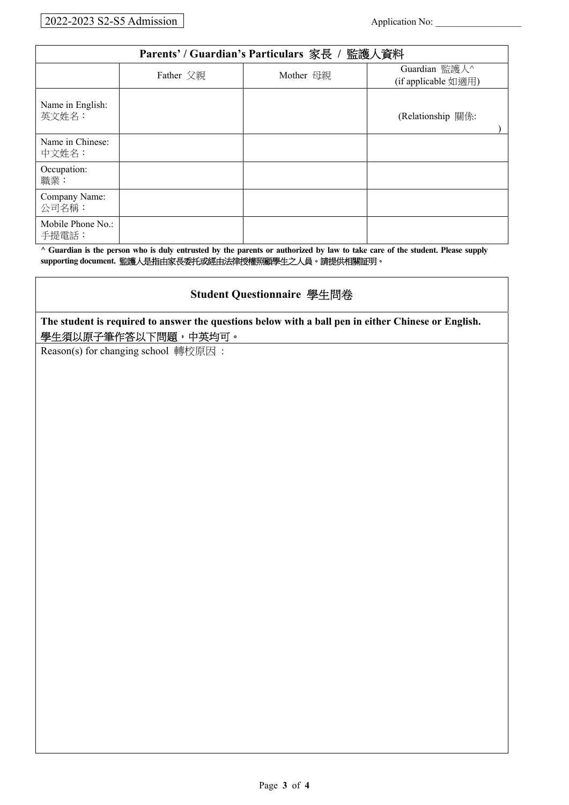### 2022-2023 S2-S5 Admission Application No:

| Parents' / Guardian's Particulars 家長 / 監護人資料 |                        |  |                     |  |  |
|----------------------------------------------|------------------------|--|---------------------|--|--|
|                                              | Mother 母親<br>Father 父親 |  | Guardian 監護人^       |  |  |
|                                              |                        |  | (if applicable 如適用) |  |  |
| Name in English:<br>英文姓名:                    |                        |  | (Relationship 關係:   |  |  |
| Name in Chinese:<br>中文姓名:                    |                        |  |                     |  |  |
| Occupation:<br>職業:                           |                        |  |                     |  |  |
| Company Name:<br>公司名稱:                       |                        |  |                     |  |  |
| Mobile Phone No.:<br>手提電話:                   |                        |  |                     |  |  |

**^ Guardian is the person who is duly entrusted by the parents or authorized by law to take care of the student. Please supply supporting document.** 監護人是指由家長委托或經由法律授權照顧學生之人員。請提供相關証明。

### **Student Questionnaire** 學生問卷

**The student is required to answer the questions below with a ball pen in either Chinese or English.**  學生須以原子筆作答以下問題,中英均可。

Reason(s) for changing school 轉校原因 :